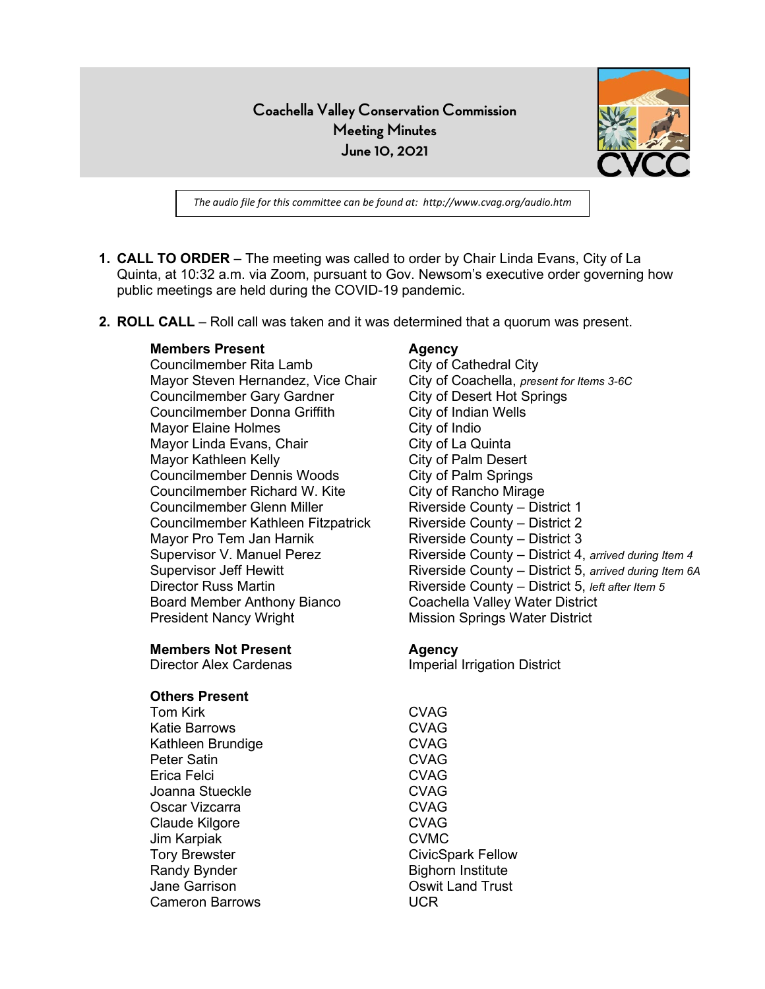**Coachella Valley Conservation Commission Meeting Minutes June 10, 2021**



*The audio file for this committee can be found at: http://www.cvag.org/audio.htm*

- **1. CALL TO ORDER** The meeting was called to order by Chair Linda Evans, City of La Quinta, at 10:32 a.m. via Zoom, pursuant to Gov. Newsom's executive order governing how public meetings are held during the COVID-19 pandemic.
- **2. ROLL CALL** Roll call was taken and it was determined that a quorum was present.

#### **Members Present Agency**

Councilmember Rita Lamb City of Cathedral City Mayor Steven Hernandez, Vice Chair Councilmember Gary Gardner Councilmember Donna Griffith Mayor Elaine Holmes Mayor Linda Evans, Chair Mayor Kathleen Kelly Councilmember Dennis Woods Councilmember Richard W. Kite Councilmember Glenn Miller Councilmember Kathleen Fitzpatrick Mayor Pro Tem Jan Harnik Director Russ Martin Board Member Anthony Bianco President Nancy Wright

#### **Members Not Present**

Director Alex Cardenas

# **Others Present**

Tom Kirk Katie Barrows Kathleen Brundige Peter Satin Erica Felci Joanna Stueckle Oscar Vizcarra Claude Kilgore Jim Karpiak Tory Brewster Randy Bynder Jane Garrison Cameron Barrows

City of Coachella, *present for Items 3-6C* City of Desert Hot Springs City of Indian Wells City of Indio City of La Quinta City of Palm Desert City of Palm Springs City of Rancho Mirage Riverside County – District 1 Riverside County – District 2 Riverside County – District 3 Supervisor V. Manuel Perez Riverside County – District 4, *arrived during Item 4* Supervisor Jeff Hewitt **Riverside County – District 5**, arrived during Item 6A Riverside County – District 5, *left after Item 5* Coachella Valley Water District Mission Springs Water District

#### **Agency**

Imperial Irrigation District

CVAG CVAG CVAG CVAG CVAG CVAG CVAG CVAG CVMC CivicSpark Fellow Bighorn Institute Oswit Land Trust UCR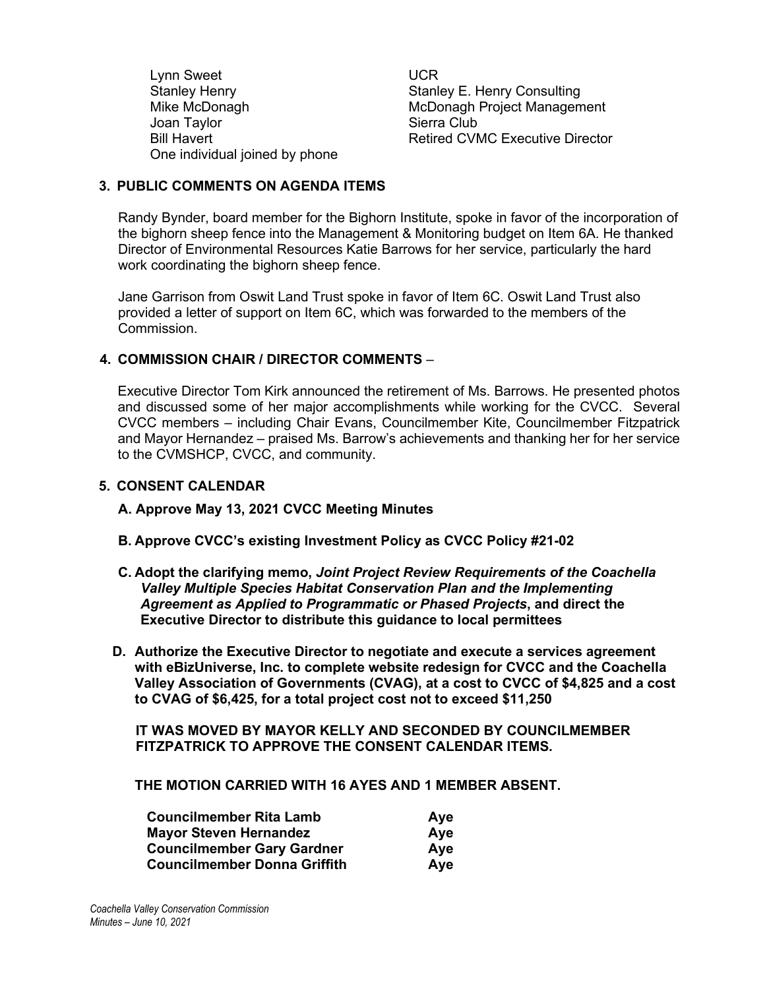Lynn Sweet Stanley Henry Mike McDonagh Joan Taylor Bill Havert One individual joined by phone UCR Stanley E. Henry Consulting McDonagh Project Management Sierra Club Retired CVMC Executive Director

## **3. PUBLIC COMMENTS ON AGENDA ITEMS**

Randy Bynder, board member for the Bighorn Institute, spoke in favor of the incorporation of the bighorn sheep fence into the Management & Monitoring budget on Item 6A. He thanked Director of Environmental Resources Katie Barrows for her service, particularly the hard work coordinating the bighorn sheep fence.

Jane Garrison from Oswit Land Trust spoke in favor of Item 6C. Oswit Land Trust also provided a letter of support on Item 6C, which was forwarded to the members of the Commission.

## **4. COMMISSION CHAIR / DIRECTOR COMMENTS** –

Executive Director Tom Kirk announced the retirement of Ms. Barrows. He presented photos and discussed some of her major accomplishments while working for the CVCC. Several CVCC members – including Chair Evans, Councilmember Kite, Councilmember Fitzpatrick and Mayor Hernandez – praised Ms. Barrow's achievements and thanking her for her service to the CVMSHCP, CVCC, and community.

## **5. CONSENT CALENDAR**

**A. Approve May 13, 2021 CVCC Meeting Minutes**

- **B. Approve CVCC's existing Investment Policy as CVCC Policy #21-02**
- **C. Adopt the clarifying memo,** *Joint Project Review Requirements of the Coachella Valley Multiple Species Habitat Conservation Plan and the Implementing Agreement as Applied to Programmatic or Phased Projects***, and direct the Executive Director to distribute this guidance to local permittees**
- **D. Authorize the Executive Director to negotiate and execute a services agreement with eBizUniverse, Inc. to complete website redesign for CVCC and the Coachella Valley Association of Governments (CVAG), at a cost to CVCC of \$4,825 and a cost to CVAG of \$6,425, for a total project cost not to exceed \$11,250**

**IT WAS MOVED BY MAYOR KELLY AND SECONDED BY COUNCILMEMBER FITZPATRICK TO APPROVE THE CONSENT CALENDAR ITEMS.**

**THE MOTION CARRIED WITH 16 AYES AND 1 MEMBER ABSENT.**

| <b>Councilmember Rita Lamb</b>      | Aye |
|-------------------------------------|-----|
| <b>Mayor Steven Hernandez</b>       | Ave |
| <b>Councilmember Gary Gardner</b>   | Ave |
| <b>Councilmember Donna Griffith</b> | Ave |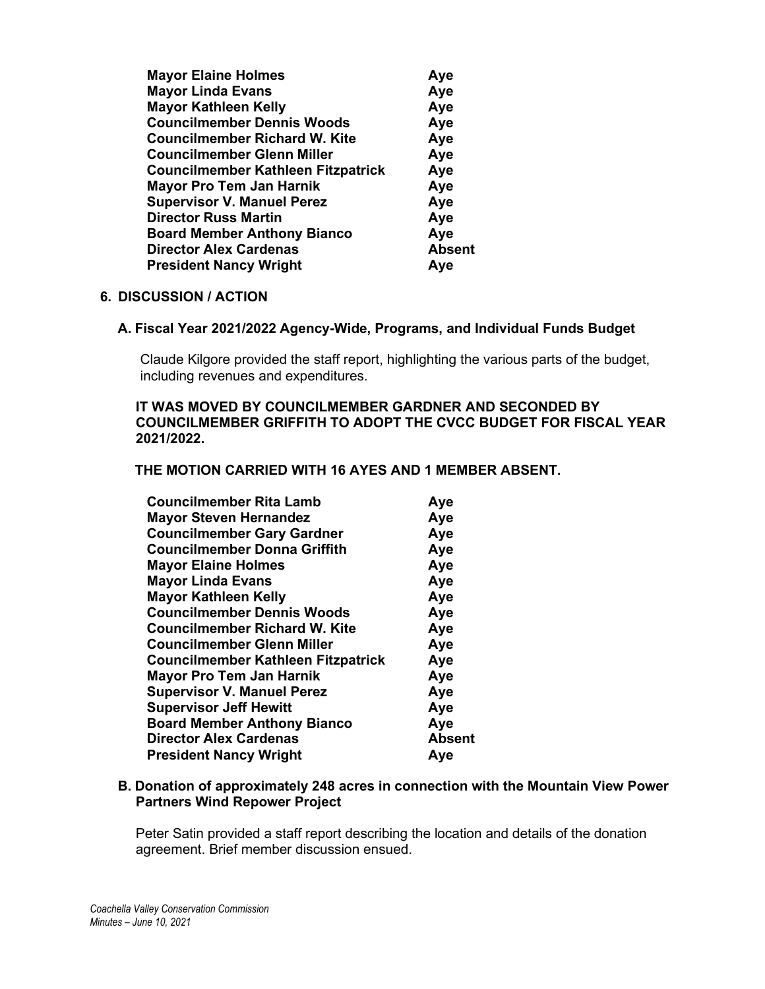| <b>Mayor Elaine Holmes</b>                | Aye           |
|-------------------------------------------|---------------|
| <b>Mayor Linda Evans</b>                  | Aye           |
| <b>Mayor Kathleen Kelly</b>               | Aye           |
| <b>Councilmember Dennis Woods</b>         | Aye           |
| <b>Councilmember Richard W. Kite</b>      | Aye           |
| <b>Councilmember Glenn Miller</b>         | Aye           |
| <b>Councilmember Kathleen Fitzpatrick</b> | Aye           |
| <b>Mayor Pro Tem Jan Harnik</b>           | Aye           |
| <b>Supervisor V. Manuel Perez</b>         | Aye           |
| <b>Director Russ Martin</b>               | Aye           |
| <b>Board Member Anthony Bianco</b>        | Aye           |
| <b>Director Alex Cardenas</b>             | <b>Absent</b> |
| <b>President Nancy Wright</b>             | Aye           |

## **6. DISCUSSION / ACTION**

#### **A. Fiscal Year 2021/2022 Agency-Wide, Programs, and Individual Funds Budget**

Claude Kilgore provided the staff report, highlighting the various parts of the budget, including revenues and expenditures.

## **IT WAS MOVED BY COUNCILMEMBER GARDNER AND SECONDED BY COUNCILMEMBER GRIFFITH TO ADOPT THE CVCC BUDGET FOR FISCAL YEAR 2021/2022.**

#### **THE MOTION CARRIED WITH 16 AYES AND 1 MEMBER ABSENT.**

| <b>Councilmember Rita Lamb</b>            | Aye           |
|-------------------------------------------|---------------|
| <b>Mayor Steven Hernandez</b>             | Aye           |
| <b>Councilmember Gary Gardner</b>         | Aye           |
| <b>Councilmember Donna Griffith</b>       | Aye           |
| <b>Mayor Elaine Holmes</b>                | Aye           |
| <b>Mayor Linda Evans</b>                  | Aye           |
| <b>Mayor Kathleen Kelly</b>               | Aye           |
| <b>Councilmember Dennis Woods</b>         | Aye           |
| <b>Councilmember Richard W. Kite</b>      | Aye           |
| <b>Councilmember Glenn Miller</b>         | Aye           |
| <b>Councilmember Kathleen Fitzpatrick</b> | Aye           |
| <b>Mayor Pro Tem Jan Harnik</b>           | Aye           |
| <b>Supervisor V. Manuel Perez</b>         | Aye           |
| <b>Supervisor Jeff Hewitt</b>             | Aye           |
| <b>Board Member Anthony Bianco</b>        | Aye           |
| <b>Director Alex Cardenas</b>             | <b>Absent</b> |
| <b>President Nancy Wright</b>             | Aye           |
|                                           |               |

## **B. Donation of approximately 248 acres in connection with the Mountain View Power Partners Wind Repower Project**

Peter Satin provided a staff report describing the location and details of the donation agreement. Brief member discussion ensued.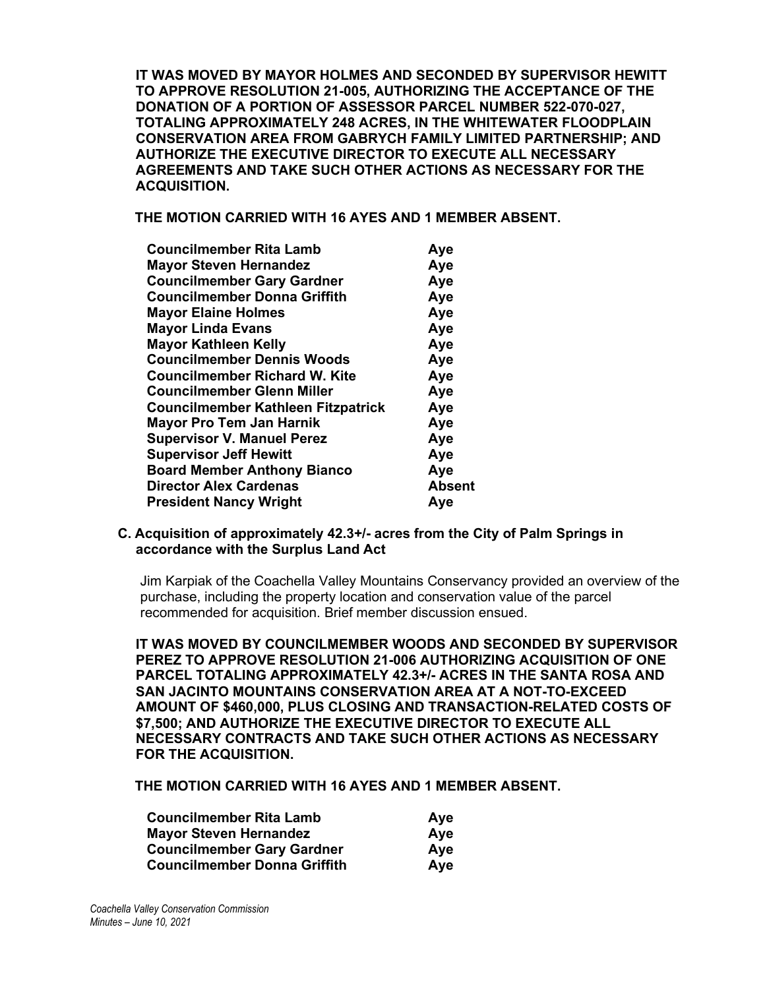**IT WAS MOVED BY MAYOR HOLMES AND SECONDED BY SUPERVISOR HEWITT TO APPROVE RESOLUTION 21-005, AUTHORIZING THE ACCEPTANCE OF THE DONATION OF A PORTION OF ASSESSOR PARCEL NUMBER 522-070-027, TOTALING APPROXIMATELY 248 ACRES, IN THE WHITEWATER FLOODPLAIN CONSERVATION AREA FROM GABRYCH FAMILY LIMITED PARTNERSHIP; AND AUTHORIZE THE EXECUTIVE DIRECTOR TO EXECUTE ALL NECESSARY AGREEMENTS AND TAKE SUCH OTHER ACTIONS AS NECESSARY FOR THE ACQUISITION.**

**THE MOTION CARRIED WITH 16 AYES AND 1 MEMBER ABSENT.**

| <b>Councilmember Rita Lamb</b>            | Aye           |
|-------------------------------------------|---------------|
| <b>Mayor Steven Hernandez</b>             | Aye           |
| <b>Councilmember Gary Gardner</b>         | Aye           |
| Councilmember Donna Griffith              | Aye           |
| <b>Mayor Elaine Holmes</b>                | Aye           |
| <b>Mayor Linda Evans</b>                  | Aye           |
| <b>Mayor Kathleen Kelly</b>               | Aye           |
| <b>Councilmember Dennis Woods</b>         | Aye           |
| <b>Councilmember Richard W. Kite</b>      | Aye           |
| Councilmember Glenn Miller                | Aye           |
| <b>Councilmember Kathleen Fitzpatrick</b> | Aye           |
| <b>Mayor Pro Tem Jan Harnik</b>           | Aye           |
| <b>Supervisor V. Manuel Perez</b>         | Aye           |
| <b>Supervisor Jeff Hewitt</b>             | Aye           |
| <b>Board Member Anthony Bianco</b>        | Aye           |
| <b>Director Alex Cardenas</b>             | <b>Absent</b> |
| <b>President Nancy Wright</b>             | Aye           |
|                                           |               |

#### **C. Acquisition of approximately 42.3+/- acres from the City of Palm Springs in accordance with the Surplus Land Act**

Jim Karpiak of the Coachella Valley Mountains Conservancy provided an overview of the purchase, including the property location and conservation value of the parcel recommended for acquisition. Brief member discussion ensued.

**IT WAS MOVED BY COUNCILMEMBER WOODS AND SECONDED BY SUPERVISOR PEREZ TO APPROVE RESOLUTION 21-006 AUTHORIZING ACQUISITION OF ONE PARCEL TOTALING APPROXIMATELY 42.3+/- ACRES IN THE SANTA ROSA AND SAN JACINTO MOUNTAINS CONSERVATION AREA AT A NOT-TO-EXCEED AMOUNT OF \$460,000, PLUS CLOSING AND TRANSACTION-RELATED COSTS OF \$7,500; AND AUTHORIZE THE EXECUTIVE DIRECTOR TO EXECUTE ALL NECESSARY CONTRACTS AND TAKE SUCH OTHER ACTIONS AS NECESSARY FOR THE ACQUISITION.**

**THE MOTION CARRIED WITH 16 AYES AND 1 MEMBER ABSENT.**

| <b>Councilmember Rita Lamb</b>      | Aye |
|-------------------------------------|-----|
| <b>Mayor Steven Hernandez</b>       | Ave |
| <b>Councilmember Gary Gardner</b>   | Ave |
| <b>Councilmember Donna Griffith</b> | Ave |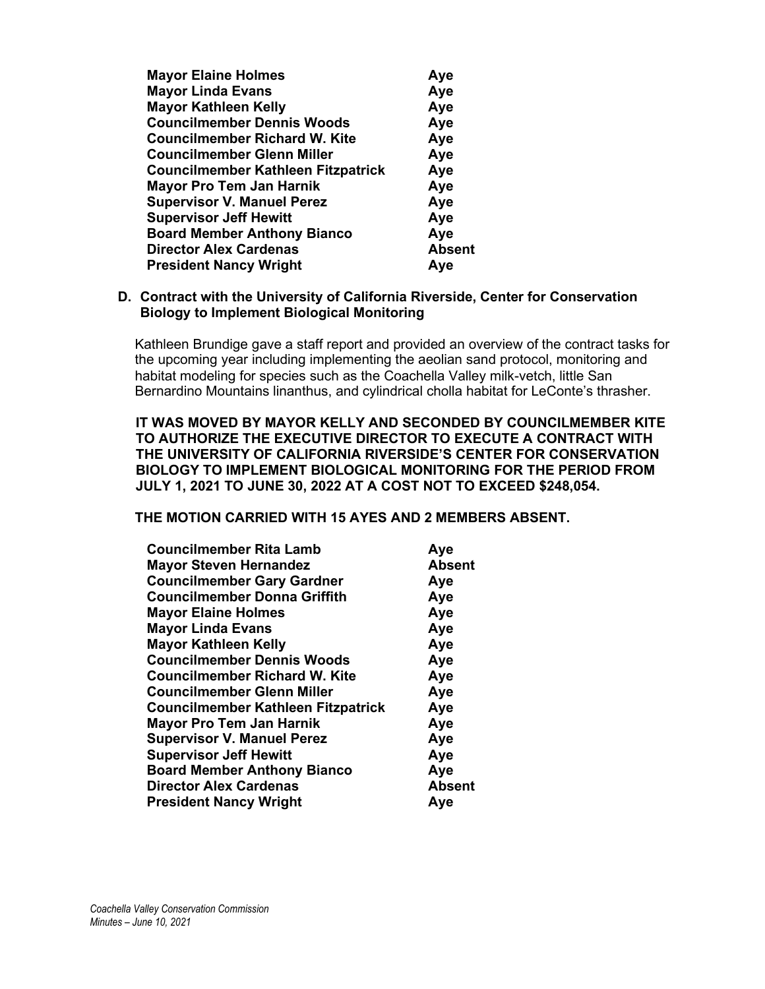| <b>Mayor Elaine Holmes</b>                | Aye           |
|-------------------------------------------|---------------|
| <b>Mayor Linda Evans</b>                  | Aye           |
| <b>Mayor Kathleen Kelly</b>               | Aye           |
| <b>Councilmember Dennis Woods</b>         | Aye           |
| <b>Councilmember Richard W. Kite</b>      | Aye           |
| <b>Councilmember Glenn Miller</b>         | Aye           |
| <b>Councilmember Kathleen Fitzpatrick</b> | Aye           |
| <b>Mayor Pro Tem Jan Harnik</b>           | Aye           |
| <b>Supervisor V. Manuel Perez</b>         | Aye           |
| <b>Supervisor Jeff Hewitt</b>             | Aye           |
| <b>Board Member Anthony Bianco</b>        | Aye           |
| <b>Director Alex Cardenas</b>             | <b>Absent</b> |
| <b>President Nancy Wright</b>             | Ave           |
|                                           |               |

## **D. Contract with the University of California Riverside, Center for Conservation Biology to Implement Biological Monitoring**

Kathleen Brundige gave a staff report and provided an overview of the contract tasks for the upcoming year including implementing the aeolian sand protocol, monitoring and habitat modeling for species such as the Coachella Valley milk-vetch, little San Bernardino Mountains linanthus, and cylindrical cholla habitat for LeConte's thrasher.

#### **IT WAS MOVED BY MAYOR KELLY AND SECONDED BY COUNCILMEMBER KITE TO AUTHORIZE THE EXECUTIVE DIRECTOR TO EXECUTE A CONTRACT WITH THE UNIVERSITY OF CALIFORNIA RIVERSIDE'S CENTER FOR CONSERVATION BIOLOGY TO IMPLEMENT BIOLOGICAL MONITORING FOR THE PERIOD FROM JULY 1, 2021 TO JUNE 30, 2022 AT A COST NOT TO EXCEED \$248,054.**

#### **THE MOTION CARRIED WITH 15 AYES AND 2 MEMBERS ABSENT.**

| <b>Councilmember Rita Lamb</b>            | Aye           |
|-------------------------------------------|---------------|
| <b>Mayor Steven Hernandez</b>             | <b>Absent</b> |
| <b>Councilmember Gary Gardner</b>         | Aye           |
| <b>Councilmember Donna Griffith</b>       | Aye           |
| <b>Mayor Elaine Holmes</b>                | Aye           |
| <b>Mayor Linda Evans</b>                  | Aye           |
| <b>Mayor Kathleen Kelly</b>               | Aye           |
| <b>Councilmember Dennis Woods</b>         | Aye           |
| <b>Councilmember Richard W. Kite</b>      | Aye           |
| <b>Councilmember Glenn Miller</b>         | Aye           |
| <b>Councilmember Kathleen Fitzpatrick</b> | Aye           |
| <b>Mayor Pro Tem Jan Harnik</b>           | Aye           |
| <b>Supervisor V. Manuel Perez</b>         | Aye           |
| <b>Supervisor Jeff Hewitt</b>             | Aye           |
| <b>Board Member Anthony Bianco</b>        | Aye           |
| <b>Director Alex Cardenas</b>             | <b>Absent</b> |
| <b>President Nancy Wright</b>             | Aye           |